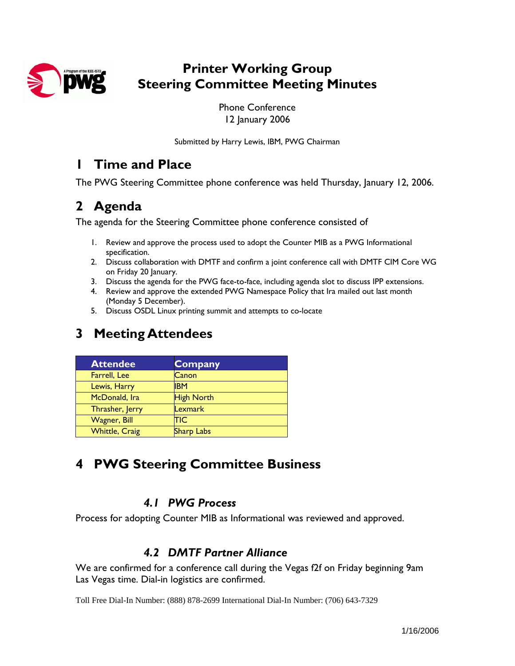

### **Printer Working Group Steering Committee Meeting Minutes**

Phone Conference 12 January 2006

Submitted by Harry Lewis, IBM, PWG Chairman

### **1 Time and Place**

The PWG Steering Committee phone conference was held Thursday, January 12, 2006.

## **2 Agenda**

The agenda for the Steering Committee phone conference consisted of

- 1. Review and approve the process used to adopt the Counter MIB as a PWG Informational specification.
- 2. Discuss collaboration with DMTF and confirm a joint conference call with DMTF CIM Core WG on Friday 20 January.
- 3. Discuss the agenda for the PWG face-to-face, including agenda slot to discuss IPP extensions.
- 4. Review and approve the extended PWG Namespace Policy that Ira mailed out last month (Monday 5 December).
- 5. Discuss OSDL Linux printing summit and attempts to co-locate

## **3 Meeting Attendees**

| <b>Attendee</b>       | <b>Company</b>    |
|-----------------------|-------------------|
| Farrell, Lee          | Canon             |
| Lewis, Harry          | <b>IBM</b>        |
| McDonald, Ira         | <b>High North</b> |
| Thrasher, Jerry       | Lexmark           |
| <b>Wagner</b> , Bill  | TIC               |
| <b>Whittle, Craig</b> | <b>Sharp Labs</b> |

## **4 PWG Steering Committee Business**

### *4.1 PWG Process*

Process for adopting Counter MIB as Informational was reviewed and approved.

### *4.2 DMTF Partner Alliance*

We are confirmed for a conference call during the Vegas f2f on Friday beginning 9am Las Vegas time. Dial-in logistics are confirmed.

Toll Free Dial-In Number: (888) 878-2699 International Dial-In Number: (706) 643-7329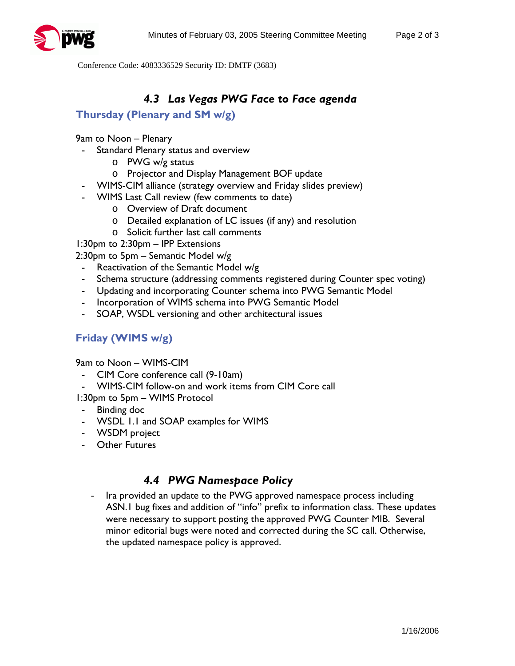

Conference Code: 4083336529 Security ID: DMTF (3683)

### *4.3 Las Vegas PWG Face to Face agenda*

#### **Thursday (Plenary and SM w/g)**

9am to Noon – Plenary

- Standard Plenary status and overview
	- o PWG w/g status
	- o Projector and Display Management BOF update
- WIMS-CIM alliance (strategy overview and Friday slides preview)
- WIMS Last Call review (few comments to date)
	- o Overview of Draft document
	- o Detailed explanation of LC issues (if any) and resolution
	- o Solicit further last call comments

1:30pm to 2:30pm – IPP Extensions

2:30pm to 5pm – Semantic Model w/g

- Reactivation of the Semantic Model w/g
- Schema structure (addressing comments registered during Counter spec voting)
- Updating and incorporating Counter schema into PWG Semantic Model
- Incorporation of WIMS schema into PWG Semantic Model
- SOAP, WSDL versioning and other architectural issues

#### **Friday (WIMS w/g)**

9am to Noon – WIMS-CIM

- CIM Core conference call (9-10am)
- WIMS-CIM follow-on and work items from CIM Core call

1:30pm to 5pm – WIMS Protocol

- Binding doc
- WSDL 1.1 and SOAP examples for WIMS
- WSDM project
- Other Futures

#### *4.4 PWG Namespace Policy*

Ira provided an update to the PWG approved namespace process including ASN.1 bug fixes and addition of "info" prefix to information class. These updates were necessary to support posting the approved PWG Counter MIB. Several minor editorial bugs were noted and corrected during the SC call. Otherwise, the updated namespace policy is approved.